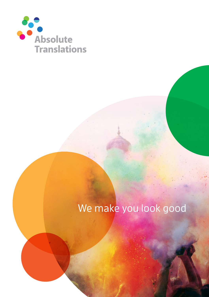

## We make you look good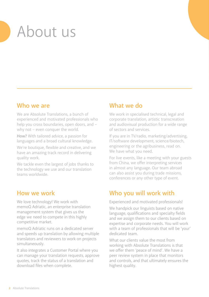# About us

### **Who we are**

We are Absolute Translations, a bunch of experienced and motivated professionals who help you cross boundaries, open doors, and – why not – even conquer the world.

**How?** With tailored advice, a passion for languages and a broad cultural knowledge.

We're boutique, flexible and creative, and we have an amazing track record in delivering quality work.

We tackle even the largest of jobs thanks to the technology we use and our translation teams worldwide.

## **How we work**

We love technology! We work with memoQ Adriatic, an enterprise translation management system that gives us the edge we need to compete in this highly competitive market.

memoQ Adriatic runs on a dedicated server and speeds up translation by allowing multiple translators and reviewers to work on projects simultaneously.

It also integrates a Customer Portal where you can manage your translation requests, approve quotes, track the status of a translation and download files when complete.

## **What we do**

We work in specialised technical, legal and corporate translation, artistic transcreation and audiovisual production for a wide range of sectors and services.

If you are in TV/radio, marketing/advertising, IT/software development, science/biotech, engineering or the agribusiness, read on. We have what you need.

For live events, like a meeting with your guests from China, we offer interpreting services in almost any language. Our team abroad can also assist you during trade missions, conferences or any other type of event.

## **Who you will work with**

Experienced and motivated professionals!

We handpick our linguists based on native language, qualifications and specialty fields and we assign them to our clients based on expertise and corporate needs. You will work with a team of professionals that will be 'your' dedicated team.

What our clients value the most from working with Absolute Translations is that we offer them 'peace of mind'. We have a peer review system in place that monitors and controls, and that ultimately ensures the highest quality.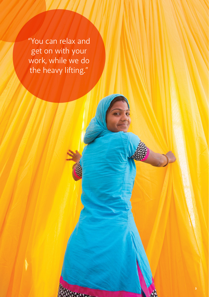"You can relax and get on with your work, while we do the heavy lifting."

**News**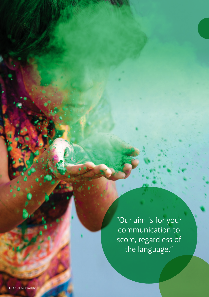"Our aim is for your communication to score, regardless of the language."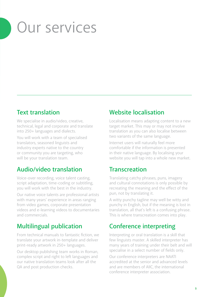## Our services

### **Text translation**

We specialise in audio/video, creative, technical, legal and corporate and translate into 250+ languages and dialects.

You will work with a team of specialised translators, seasoned linguists and industry experts native to the country or community you are targeting, who will be your translation team.

## **Audio/video translation**

Voice-over recording, voice talent casting, script adaptation, time-coding or subtitling, you will work with the best in the industry.

Our native voice talents are professional artists with many years' experience in areas ranging from video games, corporate presentation videos and e-learning videos to documentaries and commercials.

## **Multilingual publication**

From technical manuals to fantastic fiction, we translate your artwork in-template and deliver print-ready artwork in 250+ languages.

Our desktop publishing team works in Roman, complex script and right to left languages and our native translation teams look after all the QA and post production checks.

## **Website localisation**

Localisation means adapting content to a new target market. This may or may not involve translation as you can also localise between two variants of the same language.

Internet users will naturally feel more comfortable if the information is presented in their native language. By localising your website you will tap into a whole new market.

## **Transcreation**

Translating catchy phrases, puns, imagery and cultural connotations is only possible by recreating the meaning and the effect of the pun, not by translating it.

A witty punchy tagline may well be witty and punchy in English, but if the meaning is lost in translation, all that's left is a confusing phrase. This is where transcreation comes into play.

## **Conference interpreting**

Interpreting or oral translation is a skill that few linguists master. A skilled interpreter has many years of training under their belt and will specialise in a select number of fields only.

Our conference interpreters are NAATI accredited at the senior and advanced levels and are members of AIIC, the international conference interpreter association.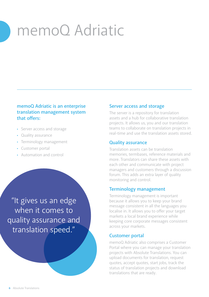# memoQ Adriatic

#### **memoQ Adriatic is an enterprise translation management system that offers:**

- Server access and storage
- Quality assurance
- Terminology management
- Customer portal
- Automation and control

"It gives us an edge when it comes to quality assurance and translation speed."

#### **Server access and storage**

The server is a repository for translation assets and a hub for collaborative translation projects. It allows us, you and our translation teams to collaborate on translation projects in real-time and use the translation assets stored.

#### **Quality assurance**

Translation assets can be translation memories, termbases, reference materials and more. Translators can share these assets with each other and communicate with project managers and customers through a discussion forum. This adds an extra layer of quality monitoring and control.

#### **Terminology management**

Terminology management is important because it allows you to keep your brand message consistent in all the languages you localise in. It allows you to offer your target markets a local brand experience while keeping core corporate messages consistent across your markets.

#### **Customer portal**

memoQ Adriatic also comprises a Customer Portal where you can manage your translation projects with Absolute Translations. You can upload documents for translation, request quotes, accept quotes, start jobs, track the status of translation projects and download translations that are ready.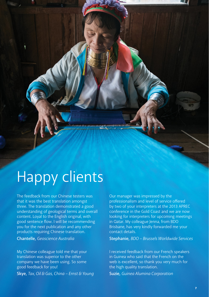# Happy clients

The feedback from our Chinese testers was that it was the best translation amongst three. The translation demonstrated a good understanding of geological terms and overall content. Loyal to the English original, with good sentence flow. I will be recommending you for the next publication and any other products requiring Chinese translation.

#### **Chantelle,** *Geoscience Australia*

My Chinese colleague told me that your translation was superior to the other company we have been using. So some good feedback for you!

**Skye,** *Tax, Oil & Gas, China – Ernst & Young*

Our manager was impressed by the professionalism and level of service offered by two of your interpreters at the 2013 APREC conference in the Gold Coast and we are now looking for interpreters for upcoming meetings in Qatar. My colleague Jenna, from BDO Brisbane, has very kindly forwarded me your contact details.

**Stephanie,** *BDO – Brussels Worldwide Services*

I received feedback from our French speakers in Guinea who said that the French on the web is excellent, so thank you very much for the high quality translation.

**Suzie,** *Guinea Alumina Corporation*